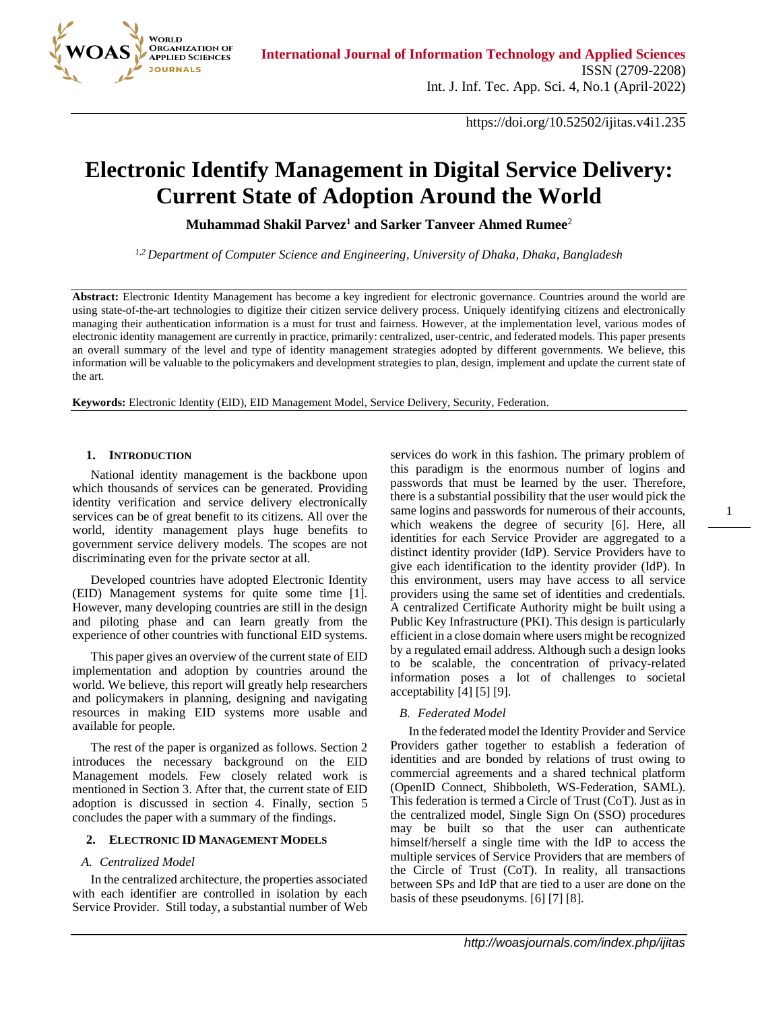

https://doi.org/10.52502/ijitas.v4i1.235

# **Electronic Identify Management in Digital Service Delivery: Current State of Adoption Around the World**

**Muhammad Shakil Parvez<sup>1</sup> and Sarker Tanveer Ahmed Rumee**<sup>2</sup>

*1,2 Department of Computer Science and Engineering, University of Dhaka, Dhaka, Bangladesh*

**Abstract:** Electronic Identity Management has become a key ingredient for electronic governance. Countries around the world are using state-of-the-art technologies to digitize their citizen service delivery process. Uniquely identifying citizens and electronically managing their authentication information is a must for trust and fairness. However, at the implementation level, various modes of electronic identity management are currently in practice, primarily: centralized, user-centric, and federated models. This paper presents an overall summary of the level and type of identity management strategies adopted by different governments. We believe, this information will be valuable to the policymakers and development strategies to plan, design, implement and update the current state of the art.

**Keywords:** Electronic Identity (EID), EID Management Model, Service Delivery, Security, Federation.

#### **1. INTRODUCTION**

National identity management is the backbone upon which thousands of services can be generated. Providing identity verification and service delivery electronically services can be of great benefit to its citizens. All over the world, identity management plays huge benefits to government service delivery models. The scopes are not discriminating even for the private sector at all.

Developed countries have adopted Electronic Identity (EID) Management systems for quite some time [1]. However, many developing countries are still in the design and piloting phase and can learn greatly from the experience of other countries with functional EID systems.

This paper gives an overview of the current state of EID implementation and adoption by countries around the world. We believe, this report will greatly help researchers and policymakers in planning, designing and navigating resources in making EID systems more usable and available for people.

The rest of the paper is organized as follows. Section 2 introduces the necessary background on the EID Management models. Few closely related work is mentioned in Section 3. After that, the current state of EID adoption is discussed in section 4. Finally, section 5 concludes the paper with a summary of the findings.

## **2. ELECTRONIC ID MANAGEMENT MODELS**

## *A. Centralized Model*

In the centralized architecture, the properties associated with each identifier are controlled in isolation by each Service Provider. Still today, a substantial number of Web

services do work in this fashion. The primary problem of this paradigm is the enormous number of logins and passwords that must be learned by the user. Therefore, there is a substantial possibility that the user would pick the same logins and passwords for numerous of their accounts, which weakens the degree of security [6]. Here, all identities for each Service Provider are aggregated to a distinct identity provider (IdP). Service Providers have to give each identification to the identity provider (IdP). In this environment, users may have access to all service providers using the same set of identities and credentials. A centralized Certificate Authority might be built using a Public Key Infrastructure (PKI). This design is particularly efficient in a close domain where users might be recognized by a regulated email address. Although such a design looks to be scalable, the concentration of privacy-related information poses a lot of challenges to societal acceptability [4] [5] [9].

1

## *B. Federated Model*

In the federated model the Identity Provider and Service Providers gather together to establish a federation of identities and are bonded by relations of trust owing to commercial agreements and a shared technical platform (OpenID Connect, Shibboleth, WS-Federation, SAML). This federation is termed a Circle of Trust (CoT). Just as in the centralized model, Single Sign On (SSO) procedures may be built so that the user can authenticate himself/herself a single time with the IdP to access the multiple services of Service Providers that are members of the Circle of Trust (CoT). In reality, all transactions between SPs and IdP that are tied to a user are done on the basis of these pseudonyms. [6] [7] [8].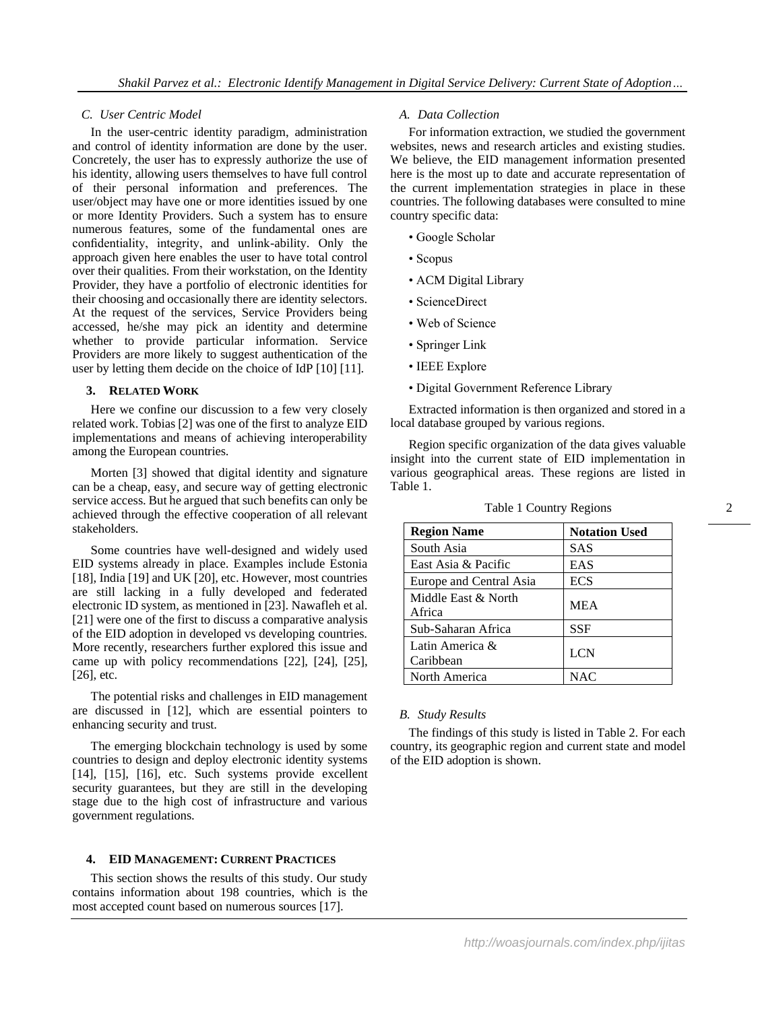## *C. User Centric Model*

In the user-centric identity paradigm, administration and control of identity information are done by the user. Concretely, the user has to expressly authorize the use of his identity, allowing users themselves to have full control of their personal information and preferences. The user/object may have one or more identities issued by one or more Identity Providers. Such a system has to ensure numerous features, some of the fundamental ones are confidentiality, integrity, and unlink-ability. Only the approach given here enables the user to have total control over their qualities. From their workstation, on the Identity Provider, they have a portfolio of electronic identities for their choosing and occasionally there are identity selectors. At the request of the services, Service Providers being accessed, he/she may pick an identity and determine whether to provide particular information. Service Providers are more likely to suggest authentication of the user by letting them decide on the choice of IdP [10] [11].

#### **3. RELATED WORK**

Here we confine our discussion to a few very closely related work. Tobias [2] was one of the first to analyze EID implementations and means of achieving interoperability among the European countries.

Morten [3] showed that digital identity and signature can be a cheap, easy, and secure way of getting electronic service access. But he argued that such benefits can only be achieved through the effective cooperation of all relevant stakeholders.

Some countries have well-designed and widely used EID systems already in place. Examples include Estonia [18], India [19] and UK [20], etc. However, most countries are still lacking in a fully developed and federated electronic ID system, as mentioned in [23]. Nawafleh et al. [21] were one of the first to discuss a comparative analysis of the EID adoption in developed vs developing countries. More recently, researchers further explored this issue and came up with policy recommendations [22], [24], [25], [26], etc.

The potential risks and challenges in EID management are discussed in [12], which are essential pointers to enhancing security and trust.

The emerging blockchain technology is used by some countries to design and deploy electronic identity systems [14], [15], [16], etc. Such systems provide excellent security guarantees, but they are still in the developing stage due to the high cost of infrastructure and various government regulations.

## **4. EID MANAGEMENT: CURRENT PRACTICES**

This section shows the results of this study. Our study contains information about 198 countries, which is the most accepted count based on numerous sources [17].

## *A. Data Collection*

For information extraction, we studied the government websites, news and research articles and existing studies. We believe, the EID management information presented here is the most up to date and accurate representation of the current implementation strategies in place in these countries. The following databases were consulted to mine country specific data:

- Google Scholar
- Scopus
- ACM Digital Library
- ScienceDirect
- Web of Science
- Springer Link
- IEEE Explore
- Digital Government Reference Library

Extracted information is then organized and stored in a local database grouped by various regions.

Region specific organization of the data gives valuable insight into the current state of EID implementation in various geographical areas. These regions are listed in Table 1.

| <b>Region Name</b>            | <b>Notation Used</b> |
|-------------------------------|----------------------|
| South Asia                    | SAS                  |
| East Asia & Pacific           | EAS                  |
| Europe and Central Asia       | <b>ECS</b>           |
| Middle East & North<br>Africa | <b>MEA</b>           |
| Sub-Saharan Africa            | <b>SSF</b>           |
| Latin America &<br>Caribbean  | <b>LCN</b>           |
| North America                 | NAC                  |

Table 1 Country Regions

## *B. Study Results*

The findings of this study is listed in Table 2. For each country, its geographic region and current state and model of the EID adoption is shown.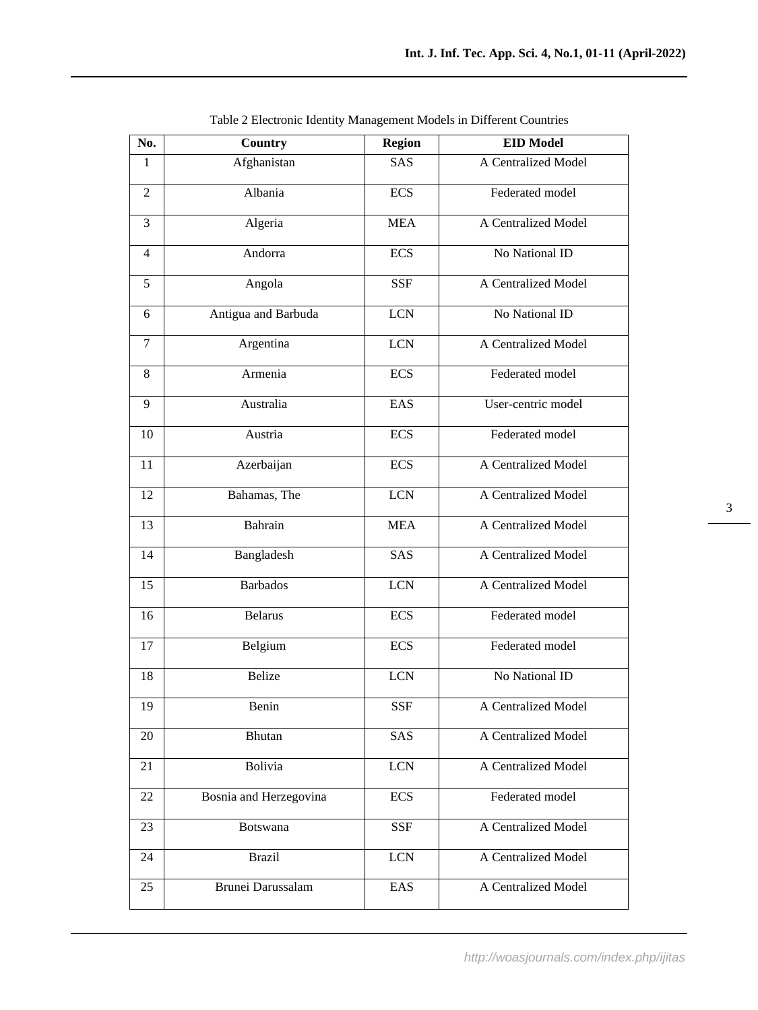| No.            | Country                | <b>Region</b> | <b>EID Model</b>    |
|----------------|------------------------|---------------|---------------------|
| 1              | Afghanistan            | SAS           | A Centralized Model |
| $\overline{2}$ | Albania                | <b>ECS</b>    | Federated model     |
| 3              | Algeria                | <b>MEA</b>    | A Centralized Model |
| $\overline{4}$ | Andorra                | <b>ECS</b>    | No National ID      |
| 5              | Angola                 | <b>SSF</b>    | A Centralized Model |
| 6              | Antigua and Barbuda    | <b>LCN</b>    | No National ID      |
| $\tau$         | Argentina              | <b>LCN</b>    | A Centralized Model |
| $\,8\,$        | Armenia                | <b>ECS</b>    | Federated model     |
| 9              | Australia              | EAS           | User-centric model  |
| 10             | Austria                | <b>ECS</b>    | Federated model     |
| 11             | Azerbaijan             | <b>ECS</b>    | A Centralized Model |
| 12             | Bahamas, The           | <b>LCN</b>    | A Centralized Model |
| 13             | Bahrain                | <b>MEA</b>    | A Centralized Model |
| 14             | Bangladesh             | SAS           | A Centralized Model |
| 15             | <b>Barbados</b>        | <b>LCN</b>    | A Centralized Model |
| 16             | <b>Belarus</b>         | <b>ECS</b>    | Federated model     |
| 17             | Belgium                | <b>ECS</b>    | Federated model     |
| 18             | <b>Belize</b>          | <b>LCN</b>    | No National ID      |
| 19             | Benin                  | SSF           | A Centralized Model |
| 20             | Bhutan                 | SAS           | A Centralized Model |
| 21             | Bolivia                | <b>LCN</b>    | A Centralized Model |
| 22             | Bosnia and Herzegovina | <b>ECS</b>    | Federated model     |
| 23             | Botswana               | <b>SSF</b>    | A Centralized Model |
| 24             | <b>Brazil</b>          | <b>LCN</b>    | A Centralized Model |
| 25             | Brunei Darussalam      | EAS           | A Centralized Model |

Table 2 Electronic Identity Management Models in Different Countries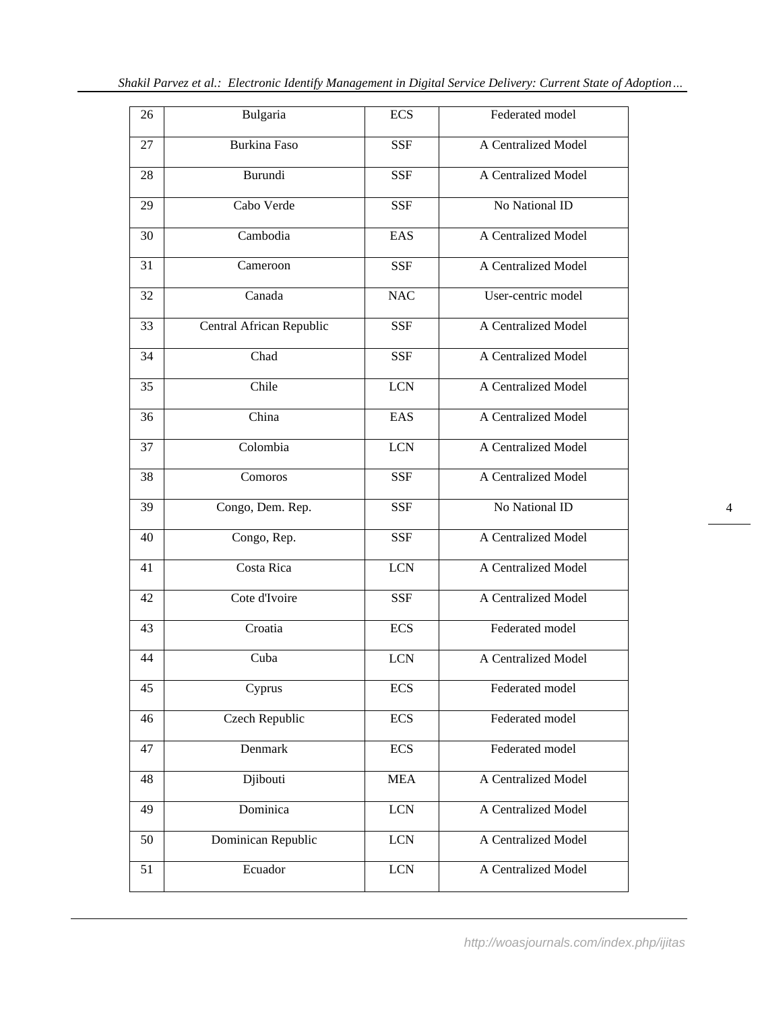| 26 | Bulgaria                 | <b>ECS</b> | Federated model     |
|----|--------------------------|------------|---------------------|
| 27 | <b>Burkina Faso</b>      | <b>SSF</b> | A Centralized Model |
| 28 | Burundi                  | <b>SSF</b> | A Centralized Model |
| 29 | Cabo Verde               | <b>SSF</b> | No National ID      |
| 30 | Cambodia                 | EAS        | A Centralized Model |
| 31 | Cameroon                 | <b>SSF</b> | A Centralized Model |
| 32 | Canada                   | <b>NAC</b> | User-centric model  |
| 33 | Central African Republic | <b>SSF</b> | A Centralized Model |
| 34 | Chad                     | <b>SSF</b> | A Centralized Model |
| 35 | Chile                    | <b>LCN</b> | A Centralized Model |
| 36 | China                    | EAS        | A Centralized Model |
| 37 | Colombia                 | <b>LCN</b> | A Centralized Model |
| 38 | Comoros                  | <b>SSF</b> | A Centralized Model |
| 39 | Congo, Dem. Rep.         | <b>SSF</b> | No National ID      |
| 40 | Congo, Rep.              | <b>SSF</b> | A Centralized Model |
| 41 | Costa Rica               | <b>LCN</b> | A Centralized Model |
| 42 | Cote d'Ivoire            | <b>SSF</b> | A Centralized Model |
| 43 | Croatia                  | <b>ECS</b> | Federated model     |
| 44 | Cuba                     | <b>LCN</b> | A Centralized Model |
| 45 | Cyprus                   | <b>ECS</b> | Federated model     |
| 46 | Czech Republic           | <b>ECS</b> | Federated model     |
| 47 | Denmark                  | <b>ECS</b> | Federated model     |
| 48 | Djibouti                 | <b>MEA</b> | A Centralized Model |
| 49 | Dominica                 | <b>LCN</b> | A Centralized Model |
| 50 | Dominican Republic       | $LCN$      | A Centralized Model |
| 51 | Ecuador                  | LCN        | A Centralized Model |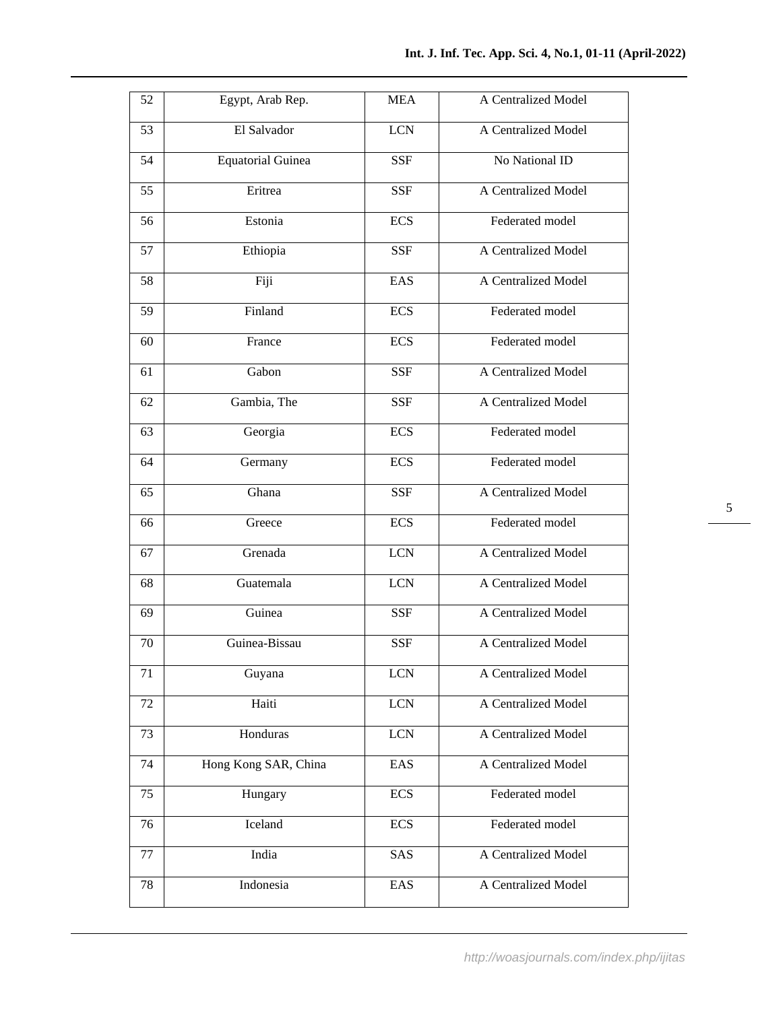| 52 | Egypt, Arab Rep.         | <b>MEA</b>   | A Centralized Model |
|----|--------------------------|--------------|---------------------|
| 53 | El Salvador              | <b>LCN</b>   | A Centralized Model |
| 54 | <b>Equatorial Guinea</b> | <b>SSF</b>   | No National ID      |
| 55 | Eritrea                  | <b>SSF</b>   | A Centralized Model |
| 56 | Estonia                  | <b>ECS</b>   | Federated model     |
| 57 | Ethiopia                 | <b>SSF</b>   | A Centralized Model |
| 58 | Fiji                     | EAS          | A Centralized Model |
| 59 | Finland                  | <b>ECS</b>   | Federated model     |
| 60 | France                   | <b>ECS</b>   | Federated model     |
| 61 | Gabon                    | <b>SSF</b>   | A Centralized Model |
| 62 | Gambia, The              | <b>SSF</b>   | A Centralized Model |
| 63 | Georgia                  | <b>ECS</b>   | Federated model     |
| 64 | Germany                  | <b>ECS</b>   | Federated model     |
| 65 | Ghana                    | <b>SSF</b>   | A Centralized Model |
| 66 | Greece                   | <b>ECS</b>   | Federated model     |
| 67 | Grenada                  | <b>LCN</b>   | A Centralized Model |
| 68 | Guatemala                | <b>LCN</b>   | A Centralized Model |
| 69 | Guinea                   | <b>SSF</b>   | A Centralized Model |
| 70 | Guinea-Bissau            | <b>SSF</b>   | A Centralized Model |
| 71 | Guyana                   | <b>LCN</b>   | A Centralized Model |
| 72 | Haiti                    | $LCN$        | A Centralized Model |
| 73 | Honduras                 | $_{\rm LCN}$ | A Centralized Model |
| 74 | Hong Kong SAR, China     | EAS          | A Centralized Model |
| 75 | Hungary                  | <b>ECS</b>   | Federated model     |
| 76 | Iceland                  | <b>ECS</b>   | Federated model     |
| 77 | India                    | SAS          | A Centralized Model |
| 78 | Indonesia                | EAS          | A Centralized Model |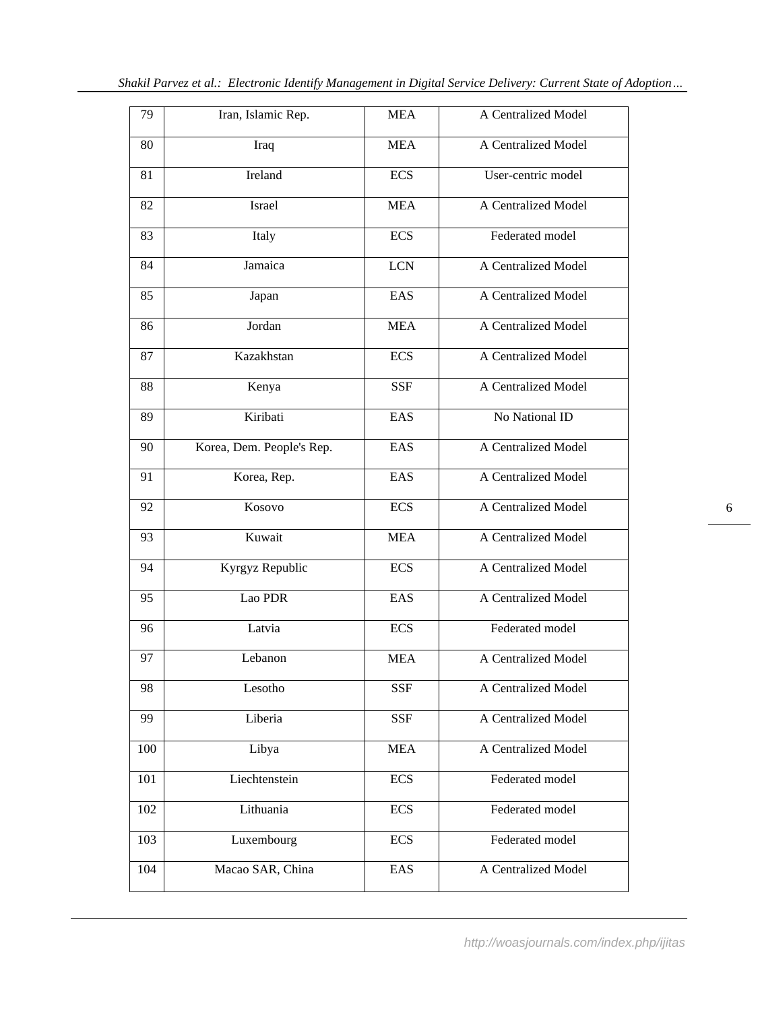| 79  | Iran, Islamic Rep.        | <b>MEA</b> | A Centralized Model |
|-----|---------------------------|------------|---------------------|
| 80  | Iraq                      | <b>MEA</b> | A Centralized Model |
| 81  | Ireland                   | <b>ECS</b> | User-centric model  |
| 82  | Israel                    | <b>MEA</b> | A Centralized Model |
| 83  | Italy                     | <b>ECS</b> | Federated model     |
| 84  | Jamaica                   | <b>LCN</b> | A Centralized Model |
| 85  | Japan                     | EAS        | A Centralized Model |
| 86  | Jordan                    | <b>MEA</b> | A Centralized Model |
| 87  | Kazakhstan                | <b>ECS</b> | A Centralized Model |
| 88  | Kenya                     | <b>SSF</b> | A Centralized Model |
| 89  | Kiribati                  | EAS        | No National ID      |
| 90  | Korea, Dem. People's Rep. | EAS        | A Centralized Model |
| 91  | Korea, Rep.               | EAS        | A Centralized Model |
| 92  | Kosovo                    | <b>ECS</b> | A Centralized Model |
| 93  | Kuwait                    | <b>MEA</b> | A Centralized Model |
| 94  | Kyrgyz Republic           | <b>ECS</b> | A Centralized Model |
| 95  | Lao PDR                   | EAS        | A Centralized Model |
| 96  | Latvia                    | <b>ECS</b> | Federated model     |
| 97  | Lebanon                   | <b>MEA</b> | A Centralized Model |
| 98  | Lesotho                   | <b>SSF</b> | A Centralized Model |
| 99  | Liberia                   | <b>SSF</b> | A Centralized Model |
| 100 | Libya                     | <b>MEA</b> | A Centralized Model |
| 101 | Liechtenstein             | <b>ECS</b> | Federated model     |
| 102 | Lithuania                 | <b>ECS</b> | Federated model     |
| 103 | Luxembourg                | <b>ECS</b> | Federated model     |
| 104 | Macao SAR, China          | EAS        | A Centralized Model |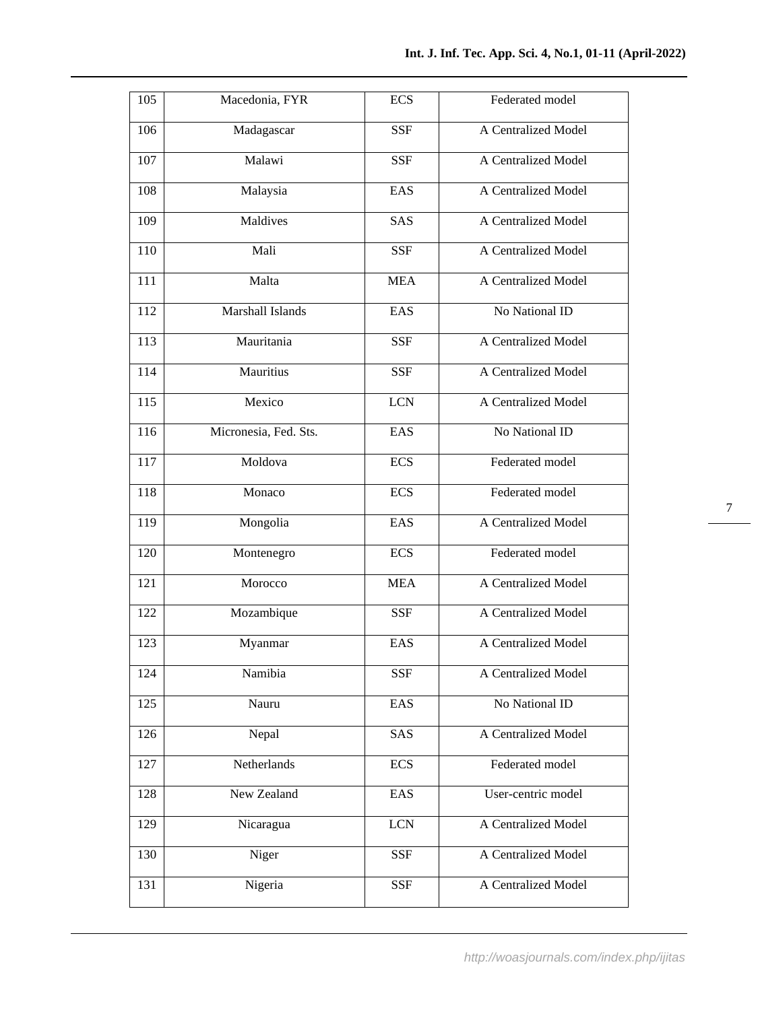| <b>SSF</b><br>A Centralized Model<br>106<br>Madagascar<br>107<br>Malawi<br><b>SSF</b><br>A Centralized Model<br>A Centralized Model<br>108<br>Malaysia<br>EAS<br>Maldives<br>SAS<br>A Centralized Model<br>109<br>Mali<br>110<br><b>SSF</b><br>A Centralized Model<br>Malta<br><b>MEA</b><br>111<br>A Centralized Model<br>Marshall Islands<br>EAS<br>No National ID<br>112<br>113<br>Mauritania<br>A Centralized Model<br><b>SSF</b><br>114<br>Mauritius<br><b>SSF</b><br>A Centralized Model<br>115<br>Mexico<br><b>LCN</b><br>A Centralized Model<br>Micronesia, Fed. Sts.<br>No National ID<br>116<br>EAS<br>Moldova<br>117<br><b>ECS</b><br>Federated model<br>118<br>Monaco<br><b>ECS</b><br>Federated model<br>A Centralized Model<br>119<br>Mongolia<br>EAS<br>120<br>Montenegro<br><b>ECS</b><br>Federated model<br>Morocco<br>A Centralized Model<br><b>MEA</b><br>121<br>122<br>Mozambique<br>A Centralized Model<br><b>SSF</b><br>$12\overline{3}$<br>EAS<br>A Centralized Model<br>Myanmar<br>A Centralized Model<br>Namibia<br>124<br><b>SSF</b><br>EAS<br>125<br>No National ID<br>Nauru<br>SAS<br>126<br>Nepal<br>A Centralized Model<br>Netherlands<br><b>ECS</b><br>127<br>Federated model<br>New Zealand<br>EAS<br>User-centric model<br>128<br><b>LCN</b><br>129<br>Nicaragua<br>A Centralized Model<br>130<br>Niger<br><b>SSF</b><br>A Centralized Model<br>Nigeria<br>A Centralized Model<br>131<br><b>SSF</b> | 105 | Macedonia, FYR | <b>ECS</b> | Federated model |
|--------------------------------------------------------------------------------------------------------------------------------------------------------------------------------------------------------------------------------------------------------------------------------------------------------------------------------------------------------------------------------------------------------------------------------------------------------------------------------------------------------------------------------------------------------------------------------------------------------------------------------------------------------------------------------------------------------------------------------------------------------------------------------------------------------------------------------------------------------------------------------------------------------------------------------------------------------------------------------------------------------------------------------------------------------------------------------------------------------------------------------------------------------------------------------------------------------------------------------------------------------------------------------------------------------------------------------------------------------------------------------------------------------------------------------------|-----|----------------|------------|-----------------|
|                                                                                                                                                                                                                                                                                                                                                                                                                                                                                                                                                                                                                                                                                                                                                                                                                                                                                                                                                                                                                                                                                                                                                                                                                                                                                                                                                                                                                                      |     |                |            |                 |
|                                                                                                                                                                                                                                                                                                                                                                                                                                                                                                                                                                                                                                                                                                                                                                                                                                                                                                                                                                                                                                                                                                                                                                                                                                                                                                                                                                                                                                      |     |                |            |                 |
|                                                                                                                                                                                                                                                                                                                                                                                                                                                                                                                                                                                                                                                                                                                                                                                                                                                                                                                                                                                                                                                                                                                                                                                                                                                                                                                                                                                                                                      |     |                |            |                 |
|                                                                                                                                                                                                                                                                                                                                                                                                                                                                                                                                                                                                                                                                                                                                                                                                                                                                                                                                                                                                                                                                                                                                                                                                                                                                                                                                                                                                                                      |     |                |            |                 |
|                                                                                                                                                                                                                                                                                                                                                                                                                                                                                                                                                                                                                                                                                                                                                                                                                                                                                                                                                                                                                                                                                                                                                                                                                                                                                                                                                                                                                                      |     |                |            |                 |
|                                                                                                                                                                                                                                                                                                                                                                                                                                                                                                                                                                                                                                                                                                                                                                                                                                                                                                                                                                                                                                                                                                                                                                                                                                                                                                                                                                                                                                      |     |                |            |                 |
|                                                                                                                                                                                                                                                                                                                                                                                                                                                                                                                                                                                                                                                                                                                                                                                                                                                                                                                                                                                                                                                                                                                                                                                                                                                                                                                                                                                                                                      |     |                |            |                 |
|                                                                                                                                                                                                                                                                                                                                                                                                                                                                                                                                                                                                                                                                                                                                                                                                                                                                                                                                                                                                                                                                                                                                                                                                                                                                                                                                                                                                                                      |     |                |            |                 |
|                                                                                                                                                                                                                                                                                                                                                                                                                                                                                                                                                                                                                                                                                                                                                                                                                                                                                                                                                                                                                                                                                                                                                                                                                                                                                                                                                                                                                                      |     |                |            |                 |
|                                                                                                                                                                                                                                                                                                                                                                                                                                                                                                                                                                                                                                                                                                                                                                                                                                                                                                                                                                                                                                                                                                                                                                                                                                                                                                                                                                                                                                      |     |                |            |                 |
|                                                                                                                                                                                                                                                                                                                                                                                                                                                                                                                                                                                                                                                                                                                                                                                                                                                                                                                                                                                                                                                                                                                                                                                                                                                                                                                                                                                                                                      |     |                |            |                 |
|                                                                                                                                                                                                                                                                                                                                                                                                                                                                                                                                                                                                                                                                                                                                                                                                                                                                                                                                                                                                                                                                                                                                                                                                                                                                                                                                                                                                                                      |     |                |            |                 |
|                                                                                                                                                                                                                                                                                                                                                                                                                                                                                                                                                                                                                                                                                                                                                                                                                                                                                                                                                                                                                                                                                                                                                                                                                                                                                                                                                                                                                                      |     |                |            |                 |
|                                                                                                                                                                                                                                                                                                                                                                                                                                                                                                                                                                                                                                                                                                                                                                                                                                                                                                                                                                                                                                                                                                                                                                                                                                                                                                                                                                                                                                      |     |                |            |                 |
|                                                                                                                                                                                                                                                                                                                                                                                                                                                                                                                                                                                                                                                                                                                                                                                                                                                                                                                                                                                                                                                                                                                                                                                                                                                                                                                                                                                                                                      |     |                |            |                 |
|                                                                                                                                                                                                                                                                                                                                                                                                                                                                                                                                                                                                                                                                                                                                                                                                                                                                                                                                                                                                                                                                                                                                                                                                                                                                                                                                                                                                                                      |     |                |            |                 |
|                                                                                                                                                                                                                                                                                                                                                                                                                                                                                                                                                                                                                                                                                                                                                                                                                                                                                                                                                                                                                                                                                                                                                                                                                                                                                                                                                                                                                                      |     |                |            |                 |
|                                                                                                                                                                                                                                                                                                                                                                                                                                                                                                                                                                                                                                                                                                                                                                                                                                                                                                                                                                                                                                                                                                                                                                                                                                                                                                                                                                                                                                      |     |                |            |                 |
|                                                                                                                                                                                                                                                                                                                                                                                                                                                                                                                                                                                                                                                                                                                                                                                                                                                                                                                                                                                                                                                                                                                                                                                                                                                                                                                                                                                                                                      |     |                |            |                 |
|                                                                                                                                                                                                                                                                                                                                                                                                                                                                                                                                                                                                                                                                                                                                                                                                                                                                                                                                                                                                                                                                                                                                                                                                                                                                                                                                                                                                                                      |     |                |            |                 |
|                                                                                                                                                                                                                                                                                                                                                                                                                                                                                                                                                                                                                                                                                                                                                                                                                                                                                                                                                                                                                                                                                                                                                                                                                                                                                                                                                                                                                                      |     |                |            |                 |
|                                                                                                                                                                                                                                                                                                                                                                                                                                                                                                                                                                                                                                                                                                                                                                                                                                                                                                                                                                                                                                                                                                                                                                                                                                                                                                                                                                                                                                      |     |                |            |                 |
|                                                                                                                                                                                                                                                                                                                                                                                                                                                                                                                                                                                                                                                                                                                                                                                                                                                                                                                                                                                                                                                                                                                                                                                                                                                                                                                                                                                                                                      |     |                |            |                 |
|                                                                                                                                                                                                                                                                                                                                                                                                                                                                                                                                                                                                                                                                                                                                                                                                                                                                                                                                                                                                                                                                                                                                                                                                                                                                                                                                                                                                                                      |     |                |            |                 |
|                                                                                                                                                                                                                                                                                                                                                                                                                                                                                                                                                                                                                                                                                                                                                                                                                                                                                                                                                                                                                                                                                                                                                                                                                                                                                                                                                                                                                                      |     |                |            |                 |
|                                                                                                                                                                                                                                                                                                                                                                                                                                                                                                                                                                                                                                                                                                                                                                                                                                                                                                                                                                                                                                                                                                                                                                                                                                                                                                                                                                                                                                      |     |                |            |                 |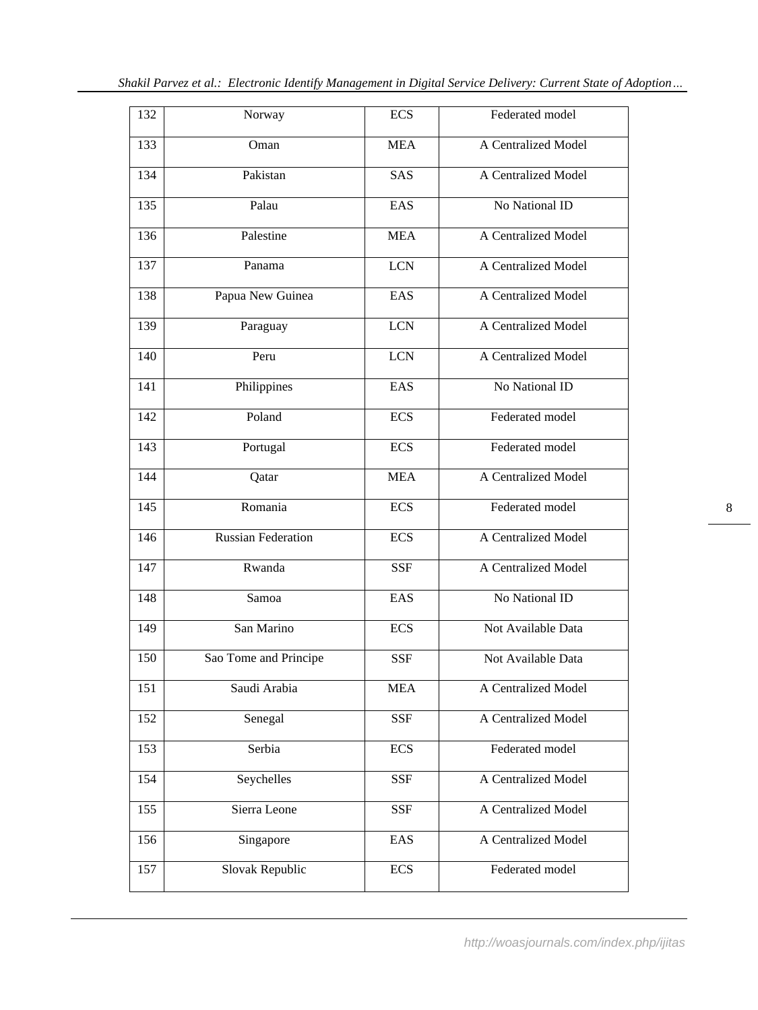| 132 | Norway                    | <b>ECS</b> | Federated model     |
|-----|---------------------------|------------|---------------------|
| 133 | Oman                      | <b>MEA</b> | A Centralized Model |
| 134 | Pakistan                  | SAS        | A Centralized Model |
| 135 | Palau                     | EAS        | No National ID      |
| 136 | Palestine                 | <b>MEA</b> | A Centralized Model |
| 137 | Panama                    | <b>LCN</b> | A Centralized Model |
| 138 | Papua New Guinea          | EAS        | A Centralized Model |
| 139 | Paraguay                  | <b>LCN</b> | A Centralized Model |
| 140 | Peru                      | <b>LCN</b> | A Centralized Model |
| 141 | Philippines               | EAS        | No National ID      |
| 142 | Poland                    | <b>ECS</b> | Federated model     |
| 143 | Portugal                  | <b>ECS</b> | Federated model     |
| 144 | Qatar                     | <b>MEA</b> | A Centralized Model |
| 145 | Romania                   | <b>ECS</b> | Federated model     |
| 146 | <b>Russian Federation</b> | <b>ECS</b> | A Centralized Model |
| 147 | Rwanda                    | <b>SSF</b> | A Centralized Model |
| 148 | Samoa                     | EAS        | No National ID      |
| 149 | San Marino                | <b>ECS</b> | Not Available Data  |
| 150 | Sao Tome and Principe     | <b>SSF</b> | Not Available Data  |
| 151 | Saudi Arabia              | <b>MEA</b> | A Centralized Model |
| 152 | Senegal                   | <b>SSF</b> | A Centralized Model |
| 153 | Serbia                    | <b>ECS</b> | Federated model     |
| 154 | Seychelles                | <b>SSF</b> | A Centralized Model |
| 155 | Sierra Leone              | <b>SSF</b> | A Centralized Model |
| 156 | Singapore                 | EAS        | A Centralized Model |
| 157 | Slovak Republic           | <b>ECS</b> | Federated model     |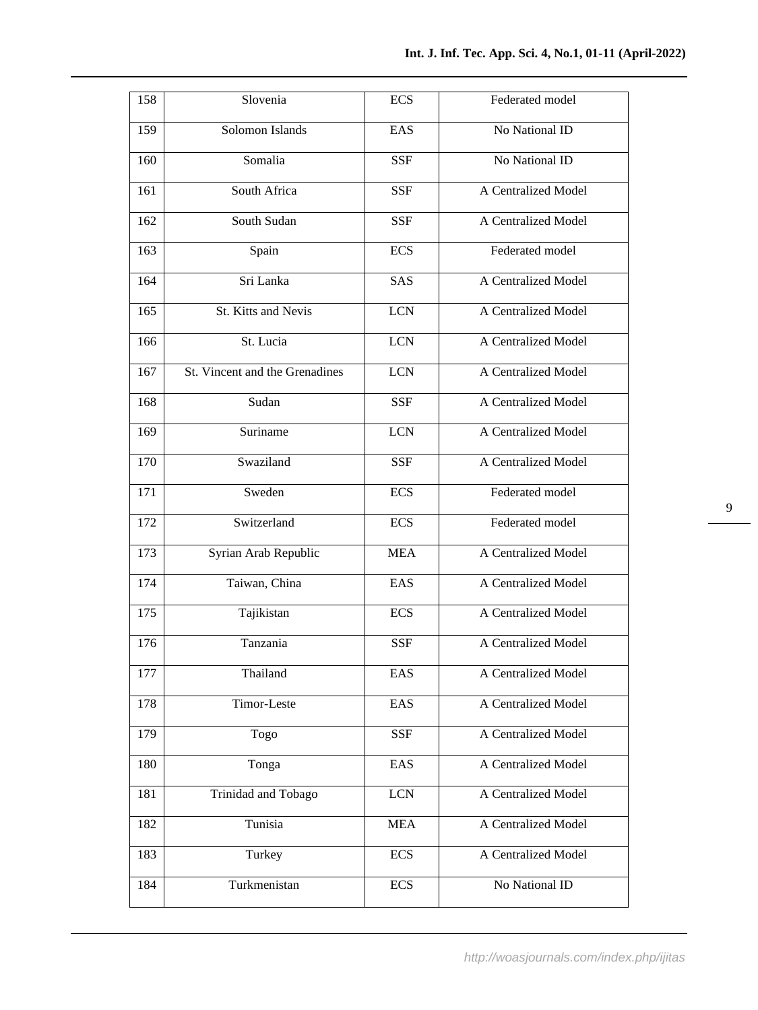| 158 | Slovenia                       | <b>ECS</b> | Federated model     |
|-----|--------------------------------|------------|---------------------|
| 159 | Solomon Islands                | EAS        | No National ID      |
| 160 | Somalia                        | <b>SSF</b> | No National ID      |
| 161 | South Africa                   | <b>SSF</b> | A Centralized Model |
| 162 | South Sudan                    | <b>SSF</b> | A Centralized Model |
| 163 | Spain                          | <b>ECS</b> | Federated model     |
| 164 | Sri Lanka                      | SAS        | A Centralized Model |
| 165 | St. Kitts and Nevis            | <b>LCN</b> | A Centralized Model |
| 166 | St. Lucia                      | <b>LCN</b> | A Centralized Model |
| 167 | St. Vincent and the Grenadines | <b>LCN</b> | A Centralized Model |
| 168 | Sudan                          | <b>SSF</b> | A Centralized Model |
| 169 | Suriname                       | <b>LCN</b> | A Centralized Model |
| 170 | Swaziland                      | <b>SSF</b> | A Centralized Model |
| 171 | Sweden                         | <b>ECS</b> | Federated model     |
| 172 | Switzerland                    | <b>ECS</b> | Federated model     |
| 173 | Syrian Arab Republic           | <b>MEA</b> | A Centralized Model |
| 174 | Taiwan, China                  | EAS        | A Centralized Model |
| 175 | Tajikistan                     | <b>ECS</b> | A Centralized Model |
| 176 | Tanzania                       | <b>SSF</b> | A Centralized Model |
| 177 | Thailand                       | EAS        | A Centralized Model |
| 178 | Timor-Leste                    | EAS        | A Centralized Model |
| 179 | Togo                           | <b>SSF</b> | A Centralized Model |
| 180 | Tonga                          | EAS        | A Centralized Model |
| 181 | Trinidad and Tobago            | <b>LCN</b> | A Centralized Model |
| 182 | Tunisia                        | <b>MEA</b> | A Centralized Model |
| 183 | Turkey                         | <b>ECS</b> | A Centralized Model |
| 184 | Turkmenistan                   | <b>ECS</b> | No National ID      |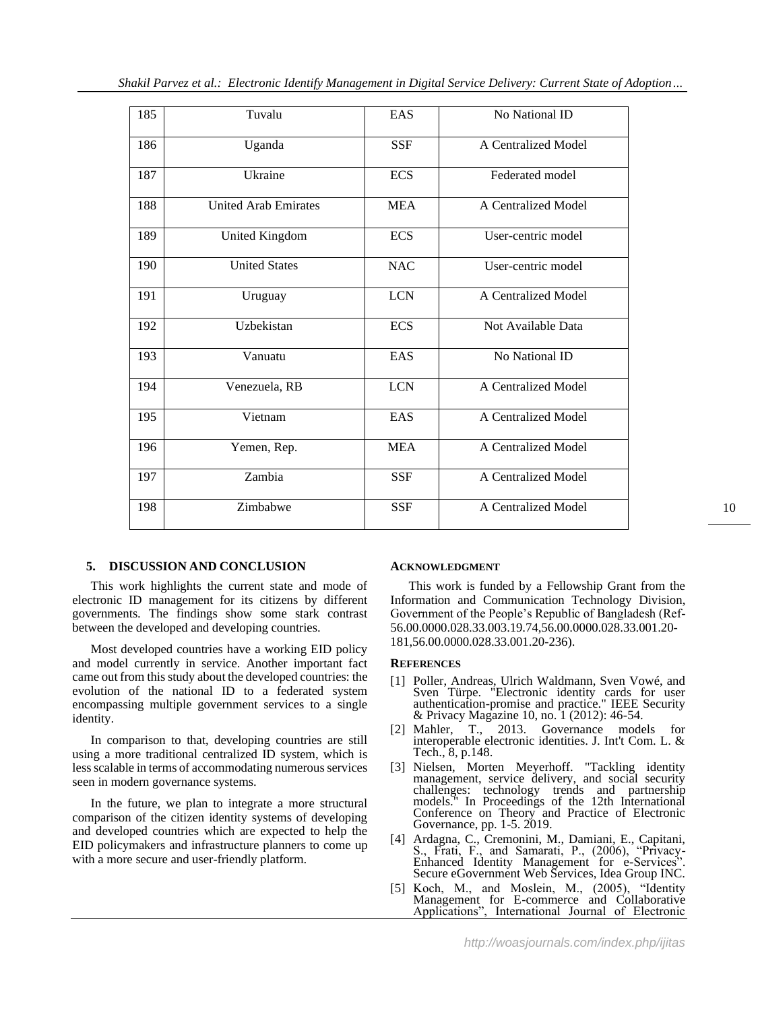| 185 | Tuvalu                      | EAS        | No National ID      |
|-----|-----------------------------|------------|---------------------|
| 186 | Uganda                      | <b>SSF</b> | A Centralized Model |
| 187 | Ukraine                     | <b>ECS</b> | Federated model     |
| 188 | <b>United Arab Emirates</b> | <b>MEA</b> | A Centralized Model |
| 189 | United Kingdom              | <b>ECS</b> | User-centric model  |
| 190 | <b>United States</b>        | <b>NAC</b> | User-centric model  |
| 191 | Uruguay                     | <b>LCN</b> | A Centralized Model |
| 192 | Uzbekistan                  | <b>ECS</b> | Not Available Data  |
| 193 | Vanuatu                     | EAS        | No National ID      |
| 194 | Venezuela, RB               | <b>LCN</b> | A Centralized Model |
| 195 | Vietnam                     | EAS        | A Centralized Model |
| 196 | Yemen, Rep.                 | <b>MEA</b> | A Centralized Model |
| 197 | Zambia                      | <b>SSF</b> | A Centralized Model |
| 198 | Zimbabwe                    | <b>SSF</b> | A Centralized Model |

## **5. DISCUSSION AND CONCLUSION**

This work highlights the current state and mode of electronic ID management for its citizens by different governments. The findings show some stark contrast between the developed and developing countries.

Most developed countries have a working EID policy and model currently in service. Another important fact came out from this study about the developed countries: the evolution of the national ID to a federated system encompassing multiple government services to a single identity.

In comparison to that, developing countries are still using a more traditional centralized ID system, which is less scalable in terms of accommodating numerous services seen in modern governance systems.

In the future, we plan to integrate a more structural comparison of the citizen identity systems of developing and developed countries which are expected to help the EID policymakers and infrastructure planners to come up with a more secure and user-friendly platform.

#### **ACKNOWLEDGMENT**

This work is funded by a Fellowship Grant from the Information and Communication Technology Division, Government of the People's Republic of Bangladesh (Ref-56.00.0000.028.33.003.19.74,56.00.0000.028.33.001.20- 181,56.00.0000.028.33.001.20-236).

#### **REFERENCES**

- [1] Poller, Andreas, Ulrich Waldmann, Sven Vowé, and Sven Türpe. "Electronic identity cards for user authentication-promise and practice." IEEE Security & Privacy Magazine 10, no. 1 (2012): 46-54.
- [2] Mahler, T., 2013. Governance models for interoperable electronic identities. J. Int't Com. L. & Tech., 8, p.148.
- [3] Nielsen, Morten Meyerhoff. "Tackling identity management, service delivery, and social security challenges: technology trends and partnership models." In Proceedings of the 12th International Conference on Theory and Practice of Electronic Governance, pp. 1-5. 2019.
- [4] Ardagna, C., Cremonini, M., Damiani, E., Capitani, S., Frati, F., and Samarati, P., (2006), "Privacy-Enhanced Identity Management for e-Services Secure eGovernment Web Services, Idea Group INC.
- [5] Koch, M., and Moslein, M., (2005), "Identity Management for E-commerce and Collaborative Applications", International Journal of Electronic